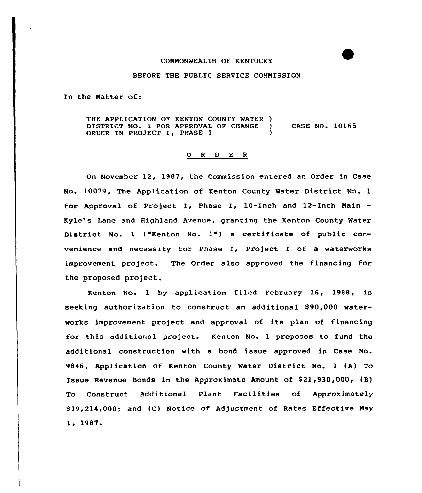## COMMONWEALTH OF KENTUCKY

## BEFORE THE PUBLIC SERVICE COMMISSION

In the Matter of:

THE APPLICATION OF KENTON COUNTY MATER ) DISTRICT NO. 1 FOR APPROVAL OF CHANGE ) CASE NO. 10165 ORDER IN PROJECT I, PHASE I

## 0 <sup>R</sup> <sup>D</sup> E R

On November 12, 1987, the Commission entered an Order in Case No. 10079, The Application of Kenton County Water District No. 1 for Approval of Project I, Phase I, 10-Inch and 12-Inch Main Kyle's Lane and Highland Avenue, granting the Kenton County Water District No. <sup>1</sup> ("Kenton No. 1") <sup>a</sup> certificate of public convenience and necessity for Phase I, Project. I of <sup>a</sup> waterworks improvement project. The Order also approved the financing for the proposed project.

Kenton, No. <sup>1</sup> by application filed February 16, 1988, is seeking authorization to construct an additional \$90,000 waterworks improvement project and approval of its plan of financing for this additional project. Kenton No. <sup>1</sup> proposes to fund the additional construction with a bond issue approved in Case No. 9846, Application of Kenton County Mater District No. l (A) To Issue Revenue Bonds in the Approximate Amount of \$21,930,000, (B) To Construct Additional Plant Facilities of Approximately \$ 19,214,000; and (C) Notice of Adjustment of Rates Effective May 1. 1987.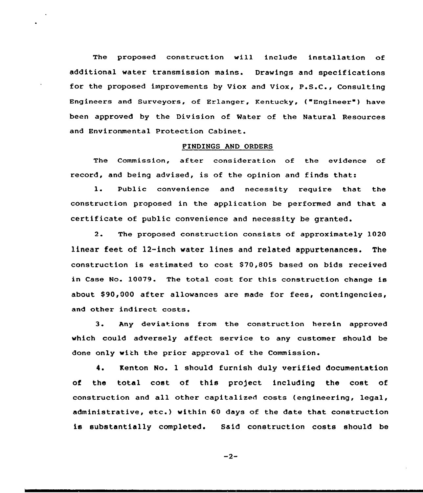The proposed construction vill include installation of additional water transmission mains. Drawings and specifications for the proposed improvements by Viox and Viox, P.S.C., Consulting Engineers and Surveyors, of Erlanger, Kentucky, ("Engineer ) have been approved by the Division of Water of the Natural Resources and Environmental Protection Cabinet.

## FINDINGS AND ORDERS

The Commission, after consideration of the evidence of record, and being advised, is of the opinion and finds that:

1. Public convenience and necessity require that the construction proposed in the application be performed and that a certificate of public convenience and necessity be granted.

2. The proposed construction consists of approximately 1020 linear feet of 12-inch water lines and related appurtenances. The construction is estimated to cost S70,805 based on bids received in Case No. 10079. The total cost for this construction change is about \$90,000 after allowances are made for fees, contingencies, and other indirect costs.

3. Any deviations from the construction herein approved which could adversely affect service to any customer should be done only with the prior approval of the Commission.

4. Kenton No. 1 should furnish duly verified documentation of the total cost of this project including the cost of construction and all other capitalized costs (engineering, legal, administrative, etc.) within <sup>60</sup> days of the date that construction is substantially completed. Said construction costs should be

 $-2-$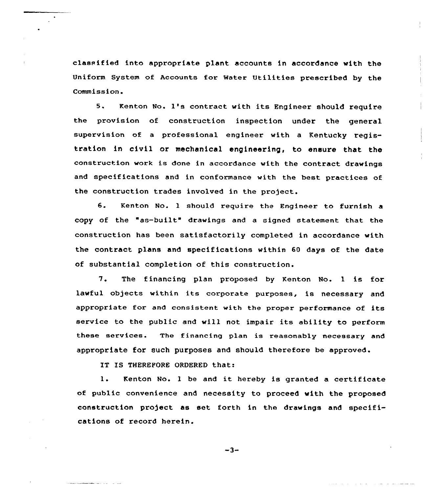classified into appropriate plant accounts in accordance with the Uniform System of Accounts for Water Utilities prescribed by the Commission.

5. Kenton No. 1's contract with its Engineer should require the provision of construction inspection under the general supervision of a professional engineer with a Kentucky registxation in civil or mechanical engineering, to ensure that the construction work is done in accordance with the contract drawings and specifications and in conformance with the best practices of the construction trades involved in the project.

6. Kenton No. <sup>1</sup> should requixe the Engineex to furnish <sup>a</sup> copy of the "as-built" dxawings and <sup>a</sup> signed statement that the construction has been satisfactorily completed in accordance with the contract. plans and specifications within 60 days of the date of substantial completion of this construction.

7. The financing plan proposed by Kenton No. <sup>1</sup> is for lawful objects within its corporate purposes, is necessary and appropriate for and consistent with the proper performance of its service to the public and will not impair its ability to perform these services. The financing plan is reasonably necessaxy and appropriate for such purposes and should therefore be approved.

IT IS THEREFORE ORDERED that:

l. Kenton No. <sup>1</sup> be and it hereby is granted <sup>a</sup> certificate of public convenience and necessity to proceed with the proposed construction project as set forth in the drawings and specifications of record herein.

 $-3-$